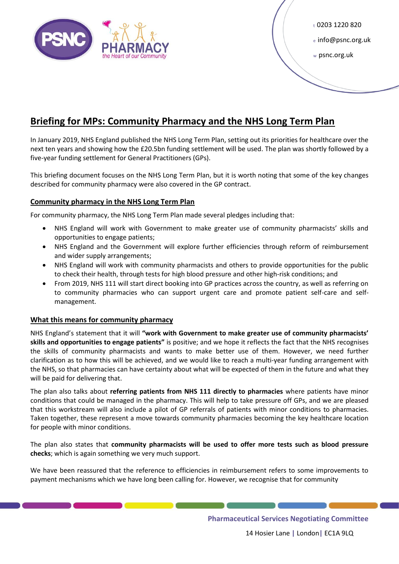

 $t$  0203 1220 820

e info@psnc.org.uk

<sup>w</sup>psnc.org.uk

# **Briefing for MPs: Community Pharmacy and the NHS Long Term Plan**

In January 2019, NHS England published the NHS Long Term Plan, setting out its priorities for healthcare over the next ten years and showing how the £20.5bn funding settlement will be used. The plan was shortly followed by a five-year funding settlement for General Practitioners (GPs).

This briefing document focuses on the NHS Long Term Plan, but it is worth noting that some of the key changes described for community pharmacy were also covered in the GP contract.

## **Community pharmacy in the NHS Long Term Plan**

For community pharmacy, the NHS Long Term Plan made several pledges including that:

- NHS England will work with Government to make greater use of community pharmacists' skills and opportunities to engage patients;
- NHS England and the Government will explore further efficiencies through reform of reimbursement and wider supply arrangements;
- NHS England will work with community pharmacists and others to provide opportunities for the public to check their health, through tests for high blood pressure and other high-risk conditions; and
- From 2019, NHS 111 will start direct booking into GP practices across the country, as well as referring on to community pharmacies who can support urgent care and promote patient self-care and selfmanagement.

### **What this means for community pharmacy**

NHS England's statement that it will **"work with Government to make greater use of community pharmacists' skills and opportunities to engage patients"** is positive; and we hope it reflects the fact that the NHS recognises the skills of community pharmacists and wants to make better use of them. However, we need further clarification as to how this will be achieved, and we would like to reach a multi-year funding arrangement with the NHS, so that pharmacies can have certainty about what will be expected of them in the future and what they will be paid for delivering that.

The plan also talks about **referring patients from NHS 111 directly to pharmacies** where patients have minor conditions that could be managed in the pharmacy. This will help to take pressure off GPs, and we are pleased that this workstream will also include a pilot of GP referrals of patients with minor conditions to pharmacies. Taken together, these represent a move towards community pharmacies becoming the key healthcare location for people with minor conditions.

The plan also states that **community pharmacists will be used to offer more tests such as blood pressure checks**; which is again something we very much support.

We have been reassured that the reference to efficiencies in reimbursement refers to some improvements to payment mechanisms which we have long been calling for. However, we recognise that for community

**Pharmaceutical Services Negotiating Committee**